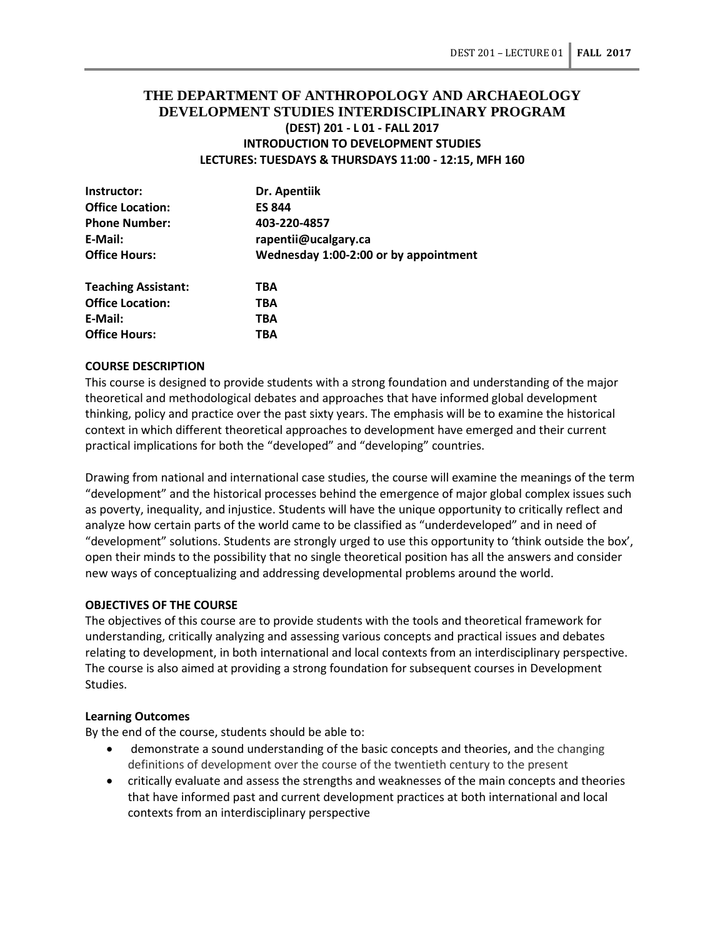# **THE DEPARTMENT OF ANTHROPOLOGY AND ARCHAEOLOGY DEVELOPMENT STUDIES INTERDISCIPLINARY PROGRAM (DEST) 201 - L 01 - FALL 2017 INTRODUCTION TO DEVELOPMENT STUDIES LECTURES: TUESDAYS & THURSDAYS 11:00 - 12:15, MFH 160**

| Instructor:                | Dr. Apentiik                                          |  |  |
|----------------------------|-------------------------------------------------------|--|--|
| <b>Office Location:</b>    | <b>ES 844</b><br>403-220-4857<br>rapentii@ucalgary.ca |  |  |
| <b>Phone Number:</b>       |                                                       |  |  |
| E-Mail:                    |                                                       |  |  |
| <b>Office Hours:</b>       | Wednesday 1:00-2:00 or by appointment                 |  |  |
| <b>Teaching Assistant:</b> | TBA                                                   |  |  |
| <b>Office Location:</b>    | TBA                                                   |  |  |
| E-Mail:                    | TBA                                                   |  |  |

#### **COURSE DESCRIPTION**

**Office Hours: TBA**

This course is designed to provide students with a strong foundation and understanding of the major theoretical and methodological debates and approaches that have informed global development thinking, policy and practice over the past sixty years. The emphasis will be to examine the historical context in which different theoretical approaches to development have emerged and their current practical implications for both the "developed" and "developing" countries.

Drawing from national and international case studies, the course will examine the meanings of the term "development" and the historical processes behind the emergence of major global complex issues such as poverty, inequality, and injustice. Students will have the unique opportunity to critically reflect and analyze how certain parts of the world came to be classified as "underdeveloped" and in need of "development" solutions. Students are strongly urged to use this opportunity to 'think outside the box', open their minds to the possibility that no single theoretical position has all the answers and consider new ways of conceptualizing and addressing developmental problems around the world.

## **OBJECTIVES OF THE COURSE**

The objectives of this course are to provide students with the tools and theoretical framework for understanding, critically analyzing and assessing various concepts and practical issues and debates relating to development, in both international and local contexts from an interdisciplinary perspective. The course is also aimed at providing a strong foundation for subsequent courses in Development Studies.

## **Learning Outcomes**

By the end of the course, students should be able to:

- demonstrate a sound understanding of the basic concepts and theories, and the changing definitions of development over the course of the twentieth century to the present
- critically evaluate and assess the strengths and weaknesses of the main concepts and theories that have informed past and current development practices at both international and local contexts from an interdisciplinary perspective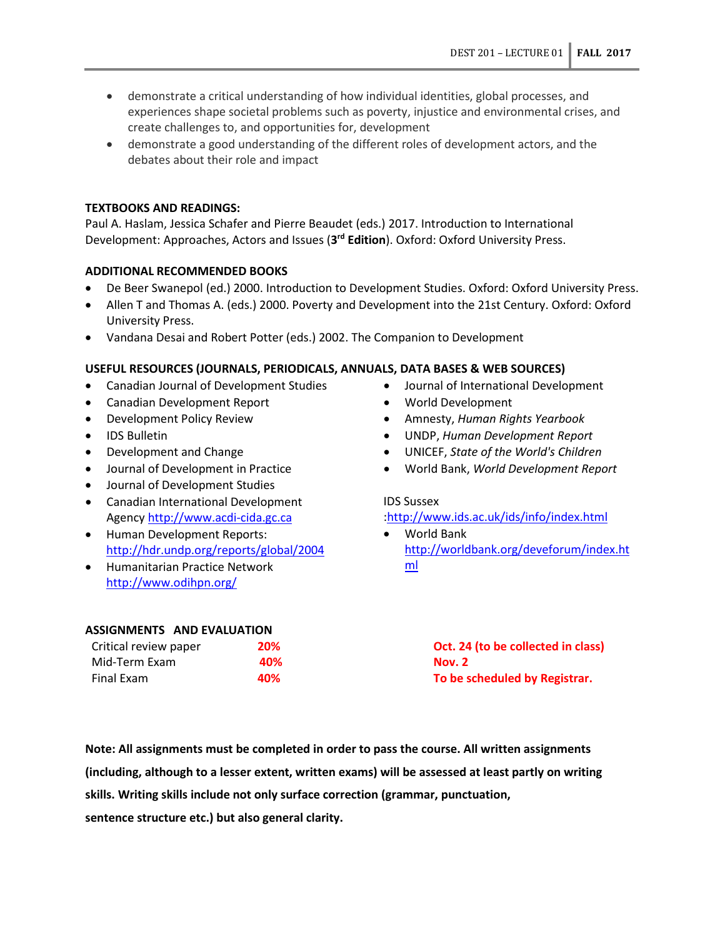- demonstrate a critical understanding of how individual identities, global processes, and experiences shape societal problems such as poverty, injustice and environmental crises, and create challenges to, and opportunities for, development
- demonstrate a good understanding of the different roles of development actors, and the debates about their role and impact

# **TEXTBOOKS AND READINGS:**

Paul A. Haslam, Jessica Schafer and Pierre Beaudet (eds.) 2017. Introduction to International Development: Approaches, Actors and Issues (**3rd Edition**). Oxford: Oxford University Press.

# **ADDITIONAL RECOMMENDED BOOKS**

- De Beer Swanepol (ed.) 2000. Introduction to Development Studies. Oxford: Oxford University Press.
- Allen T and Thomas A. (eds.) 2000. Poverty and Development into the 21st Century. Oxford: Oxford University Press.
- Vandana Desai and Robert Potter (eds.) 2002. The Companion to Development

# **USEFUL RESOURCES (JOURNALS, PERIODICALS, ANNUALS, DATA BASES & WEB SOURCES)**

- Canadian Journal of Development Studies
- Canadian Development Report
- Development Policy Review
- IDS Bulletin
- Development and Change
- Journal of Development in Practice
- Journal of Development Studies
- Canadian International Development Agency [http://www.acdi-cida.gc.ca](http://www.acdi-cida.gc.ca/)
- Human Development Reports: <http://hdr.undp.org/reports/global/2004>
- Humanitarian Practice Network <http://www.odihpn.org/>

## • Journal of International Development

- World Development
- Amnesty, *Human Rights Yearbook*
- UNDP, *Human Development Report*
- UNICEF, *State of the World's Children*
- World Bank, *World Development Report*

## IDS Sussex

## [:http://www.ids.ac.uk/ids/info/index.html](http://www.ids.ac.uk/ids/info/index.html)

• World Bank [http://worldbank.org/deveforum/index.ht](http://worldbank.org/deveforum/index.html) [ml](http://worldbank.org/deveforum/index.html)

| <b>ASSIGNMENTS AND EVALUATION</b> |     |                                    |
|-----------------------------------|-----|------------------------------------|
| Critical review paper             | 20% | Oct. 24 (to be collected in class) |
| Mid-Term Exam                     | 40% | <b>Nov. 2</b>                      |
| Final Exam                        | 40% | To be scheduled by Registrar.      |

**Note: All assignments must be completed in order to pass the course. All written assignments (including, although to a lesser extent, written exams) will be assessed at least partly on writing skills. Writing skills include not only surface correction (grammar, punctuation, sentence structure etc.) but also general clarity.**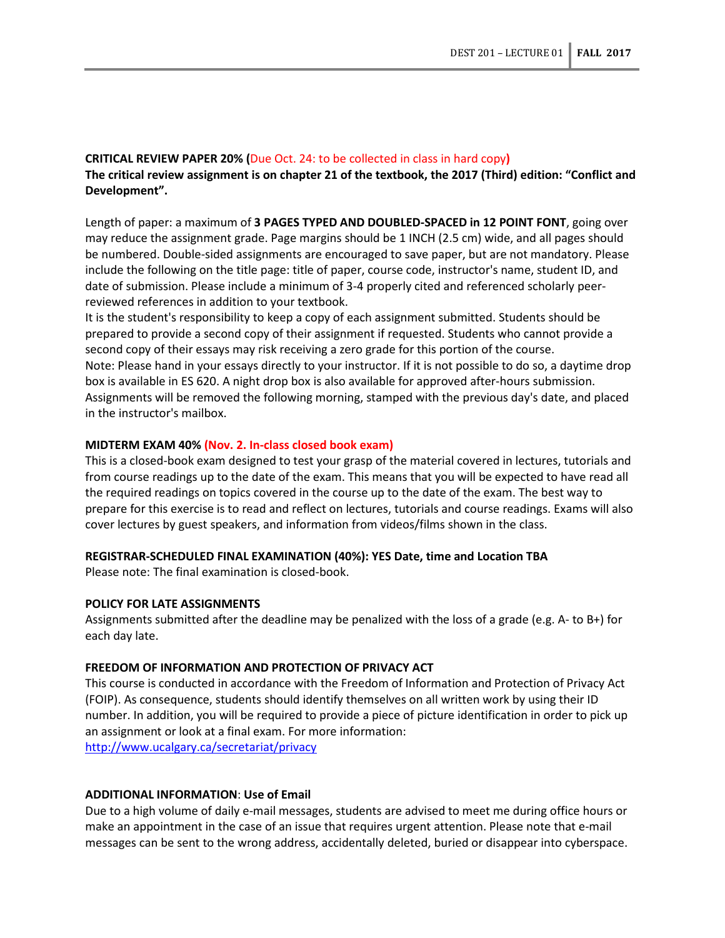## **CRITICAL REVIEW PAPER 20% (**Due Oct. 24: to be collected in class in hard copy**)**

**The critical review assignment is on chapter 21 of the textbook, the 2017 (Third) edition: "Conflict and Development".**

Length of paper: a maximum of **3 PAGES TYPED AND DOUBLED-SPACED in 12 POINT FONT**, going over may reduce the assignment grade. Page margins should be 1 INCH (2.5 cm) wide, and all pages should be numbered. Double-sided assignments are encouraged to save paper, but are not mandatory. Please include the following on the title page: title of paper, course code, instructor's name, student ID, and date of submission. Please include a minimum of 3-4 properly cited and referenced scholarly peerreviewed references in addition to your textbook.

It is the student's responsibility to keep a copy of each assignment submitted. Students should be prepared to provide a second copy of their assignment if requested. Students who cannot provide a second copy of their essays may risk receiving a zero grade for this portion of the course. Note: Please hand in your essays directly to your instructor. If it is not possible to do so, a daytime drop box is available in ES 620. A night drop box is also available for approved after-hours submission. Assignments will be removed the following morning, stamped with the previous day's date, and placed in the instructor's mailbox.

### **MIDTERM EXAM 40% (Nov. 2. In-class closed book exam)**

This is a closed-book exam designed to test your grasp of the material covered in lectures, tutorials and from course readings up to the date of the exam. This means that you will be expected to have read all the required readings on topics covered in the course up to the date of the exam. The best way to prepare for this exercise is to read and reflect on lectures, tutorials and course readings. Exams will also cover lectures by guest speakers, and information from videos/films shown in the class.

#### **REGISTRAR-SCHEDULED FINAL EXAMINATION (40%): YES Date, time and Location TBA**

Please note: The final examination is closed-book.

#### **POLICY FOR LATE ASSIGNMENTS**

Assignments submitted after the deadline may be penalized with the loss of a grade (e.g. A- to B+) for each day late.

#### **FREEDOM OF INFORMATION AND PROTECTION OF PRIVACY ACT**

This course is conducted in accordance with the Freedom of Information and Protection of Privacy Act (FOIP). As consequence, students should identify themselves on all written work by using their ID number. In addition, you will be required to provide a piece of picture identification in order to pick up an assignment or look at a final exam. For more information:

<http://www.ucalgary.ca/secretariat/privacy>

## **ADDITIONAL INFORMATION**: **Use of Email**

Due to a high volume of daily e-mail messages, students are advised to meet me during office hours or make an appointment in the case of an issue that requires urgent attention. Please note that e-mail messages can be sent to the wrong address, accidentally deleted, buried or disappear into cyberspace.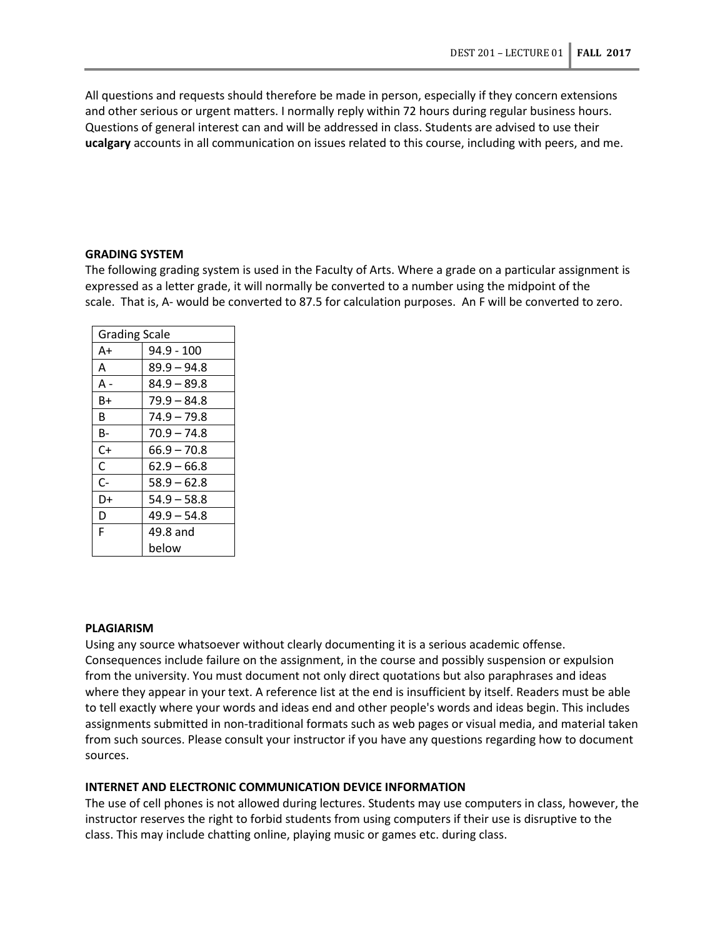All questions and requests should therefore be made in person, especially if they concern extensions and other serious or urgent matters. I normally reply within 72 hours during regular business hours. Questions of general interest can and will be addressed in class. Students are advised to use their **ucalgary** accounts in all communication on issues related to this course, including with peers, and me.

#### **GRADING SYSTEM**

The following grading system is used in the Faculty of Arts. Where a grade on a particular assignment is expressed as a letter grade, it will normally be converted to a number using the midpoint of the scale. That is, A- would be converted to 87.5 for calculation purposes. An F will be converted to zero.

| <b>Grading Scale</b> |               |  |
|----------------------|---------------|--|
| A+                   | 94.9 - 100    |  |
| А                    | $89.9 - 94.8$ |  |
| A -                  | $84.9 - 89.8$ |  |
| B+                   | 79.9 – 84.8   |  |
| B                    | 74.9 – 79.8   |  |
| В-                   | $70.9 - 74.8$ |  |
| C+                   | $66.9 - 70.8$ |  |
| C                    | $62.9 - 66.8$ |  |
| C-                   | $58.9 - 62.8$ |  |
| D+                   | $54.9 - 58.8$ |  |
| D                    | $49.9 - 54.8$ |  |
| F                    | 49.8 and      |  |
|                      | below         |  |

## **PLAGIARISM**

Using any source whatsoever without clearly documenting it is a serious academic offense. Consequences include failure on the assignment, in the course and possibly suspension or expulsion from the university. You must document not only direct quotations but also paraphrases and ideas where they appear in your text. A reference list at the end is insufficient by itself. Readers must be able to tell exactly where your words and ideas end and other people's words and ideas begin. This includes assignments submitted in non-traditional formats such as web pages or visual media, and material taken from such sources. Please consult your instructor if you have any questions regarding how to document sources.

## **INTERNET AND ELECTRONIC COMMUNICATION DEVICE INFORMATION**

The use of cell phones is not allowed during lectures. Students may use computers in class, however, the instructor reserves the right to forbid students from using computers if their use is disruptive to the class. This may include chatting online, playing music or games etc. during class.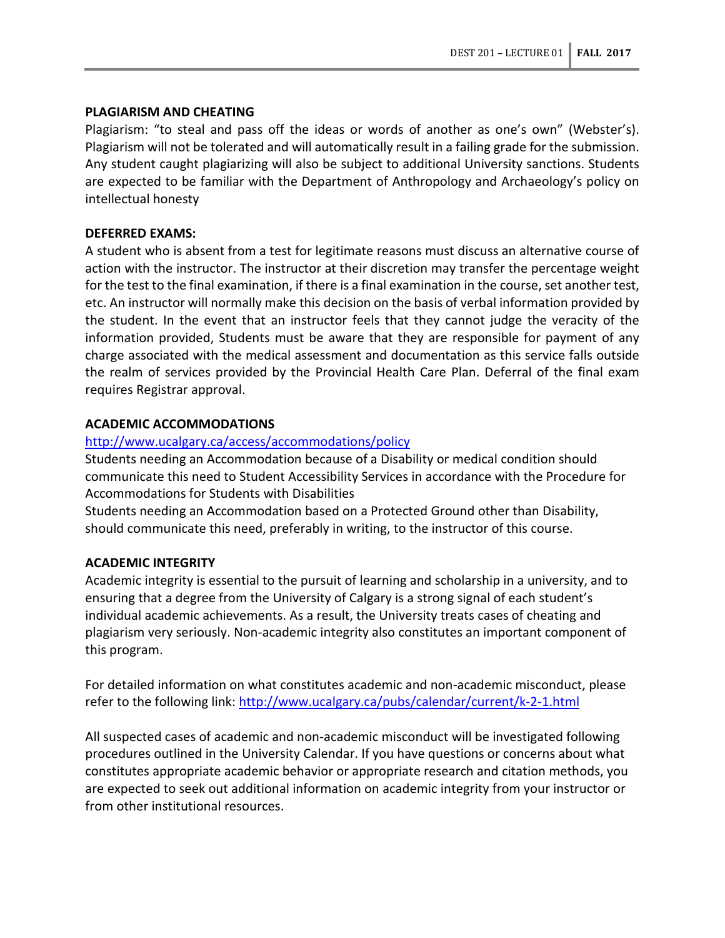## **PLAGIARISM AND CHEATING**

Plagiarism: "to steal and pass off the ideas or words of another as one's own" (Webster's). Plagiarism will not be tolerated and will automatically result in a failing grade for the submission. Any student caught plagiarizing will also be subject to additional University sanctions. Students are expected to be familiar with the Department of Anthropology and Archaeology's policy on intellectual honesty

## **DEFERRED EXAMS:**

A student who is absent from a test for legitimate reasons must discuss an alternative course of action with the instructor. The instructor at their discretion may transfer the percentage weight for the test to the final examination, if there is a final examination in the course, set another test, etc. An instructor will normally make this decision on the basis of verbal information provided by the student. In the event that an instructor feels that they cannot judge the veracity of the information provided, Students must be aware that they are responsible for payment of any charge associated with the medical assessment and documentation as this service falls outside the realm of services provided by the Provincial Health Care Plan. Deferral of the final exam requires Registrar approval.

## **ACADEMIC ACCOMMODATIONS**

## <http://www.ucalgary.ca/access/accommodations/policy>

Students needing an Accommodation because of a Disability or medical condition should communicate this need to Student Accessibility Services in accordance with the Procedure for Accommodations for Students with Disabilities

Students needing an Accommodation based on a Protected Ground other than Disability, should communicate this need, preferably in writing, to the instructor of this course.

## **ACADEMIC INTEGRITY**

Academic integrity is essential to the pursuit of learning and scholarship in a university, and to ensuring that a degree from the University of Calgary is a strong signal of each student's individual academic achievements. As a result, the University treats cases of cheating and plagiarism very seriously. Non-academic integrity also constitutes an important component of this program.

For detailed information on what constitutes academic and non-academic misconduct, please refer to the following link:<http://www.ucalgary.ca/pubs/calendar/current/k-2-1.html>

All suspected cases of academic and non-academic misconduct will be investigated following procedures outlined in the University Calendar. If you have questions or concerns about what constitutes appropriate academic behavior or appropriate research and citation methods, you are expected to seek out additional information on academic integrity from your instructor or from other institutional resources.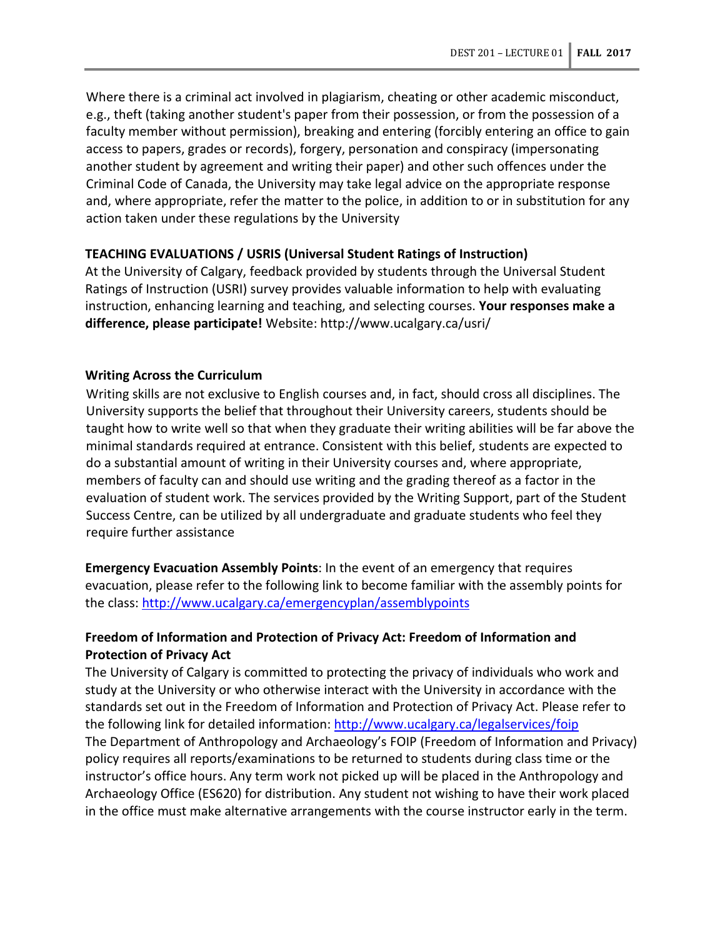Where there is a criminal act involved in plagiarism, cheating or other academic misconduct, e.g., theft (taking another student's paper from their possession, or from the possession of a faculty member without permission), breaking and entering (forcibly entering an office to gain access to papers, grades or records), forgery, personation and conspiracy (impersonating another student by agreement and writing their paper) and other such offences under the Criminal Code of Canada, the University may take legal advice on the appropriate response and, where appropriate, refer the matter to the police, in addition to or in substitution for any action taken under these regulations by the University

## **TEACHING EVALUATIONS / USRIS (Universal Student Ratings of Instruction)**

At the University of Calgary, feedback provided by students through the Universal Student Ratings of Instruction (USRI) survey provides valuable information to help with evaluating instruction, enhancing learning and teaching, and selecting courses. **Your responses make a difference, please participate!** Website: http://www.ucalgary.ca/usri/

## **Writing Across the Curriculum**

Writing skills are not exclusive to English courses and, in fact, should cross all disciplines. The University supports the belief that throughout their University careers, students should be taught how to write well so that when they graduate their writing abilities will be far above the minimal standards required at entrance. Consistent with this belief, students are expected to do a substantial amount of writing in their University courses and, where appropriate, members of faculty can and should use writing and the grading thereof as a factor in the evaluation of student work. The services provided by the Writing Support, part of the Student Success Centre, can be utilized by all undergraduate and graduate students who feel they require further assistance

**Emergency Evacuation Assembly Points**: In the event of an emergency that requires evacuation, please refer to the following link to become familiar with the assembly points for the class:<http://www.ucalgary.ca/emergencyplan/assemblypoints>

## **Freedom of Information and Protection of Privacy Act: Freedom of Information and Protection of Privacy Act**

The University of Calgary is committed to protecting the privacy of individuals who work and study at the University or who otherwise interact with the University in accordance with the standards set out in the Freedom of Information and Protection of Privacy Act. Please refer to the following link for detailed information:<http://www.ucalgary.ca/legalservices/foip> The Department of Anthropology and Archaeology's FOIP (Freedom of Information and Privacy) policy requires all reports/examinations to be returned to students during class time or the instructor's office hours. Any term work not picked up will be placed in the Anthropology and Archaeology Office (ES620) for distribution. Any student not wishing to have their work placed in the office must make alternative arrangements with the course instructor early in the term.